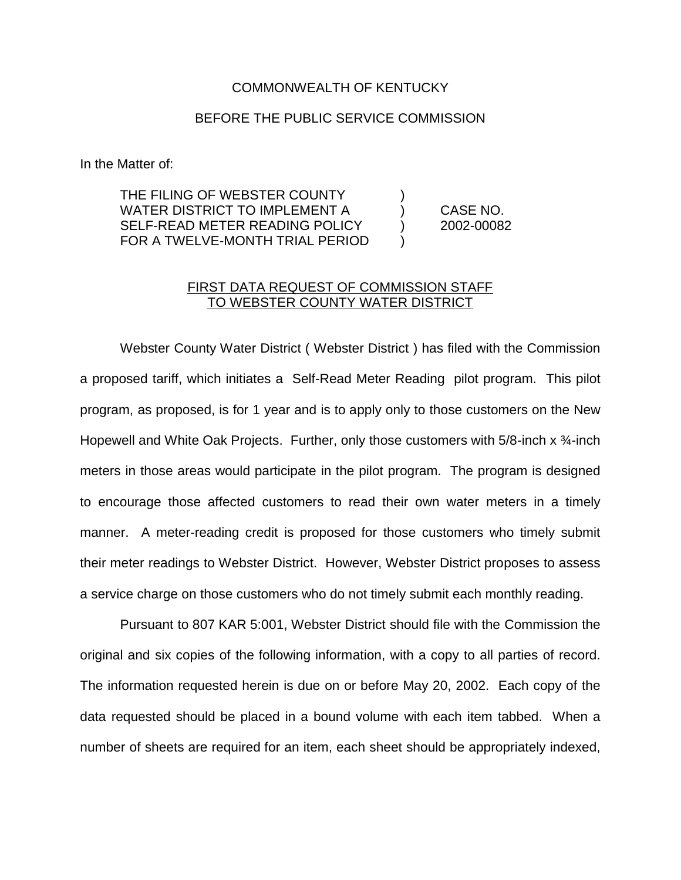## COMMONWEALTH OF KENTUCKY

## BEFORE THE PUBLIC SERVICE COMMISSION

In the Matter of:

THE FILING OF WEBSTER COUNTY WATER DISTRICT TO IMPLEMENT A (CASE NO. SELF-READ METER READING POLICY (2002-00082 FOR A TWELVE-MONTH TRIAL PERIOD

## FIRST DATA REQUEST OF COMMISSION STAFF TO WEBSTER COUNTY WATER DISTRICT

Webster County Water District ( Webster District ) has filed with the Commission a proposed tariff, which initiates a Self-Read Meter Reading pilot program. This pilot program, as proposed, is for 1 year and is to apply only to those customers on the New Hopewell and White Oak Projects. Further, only those customers with 5/8-inch x  $\frac{3}{4}$ -inch meters in those areas would participate in the pilot program. The program is designed to encourage those affected customers to read their own water meters in a timely manner. A meter-reading credit is proposed for those customers who timely submit their meter readings to Webster District. However, Webster District proposes to assess a service charge on those customers who do not timely submit each monthly reading.

Pursuant to 807 KAR 5:001, Webster District should file with the Commission the original and six copies of the following information, with a copy to all parties of record. The information requested herein is due on or before May 20, 2002. Each copy of the data requested should be placed in a bound volume with each item tabbed. When a number of sheets are required for an item, each sheet should be appropriately indexed,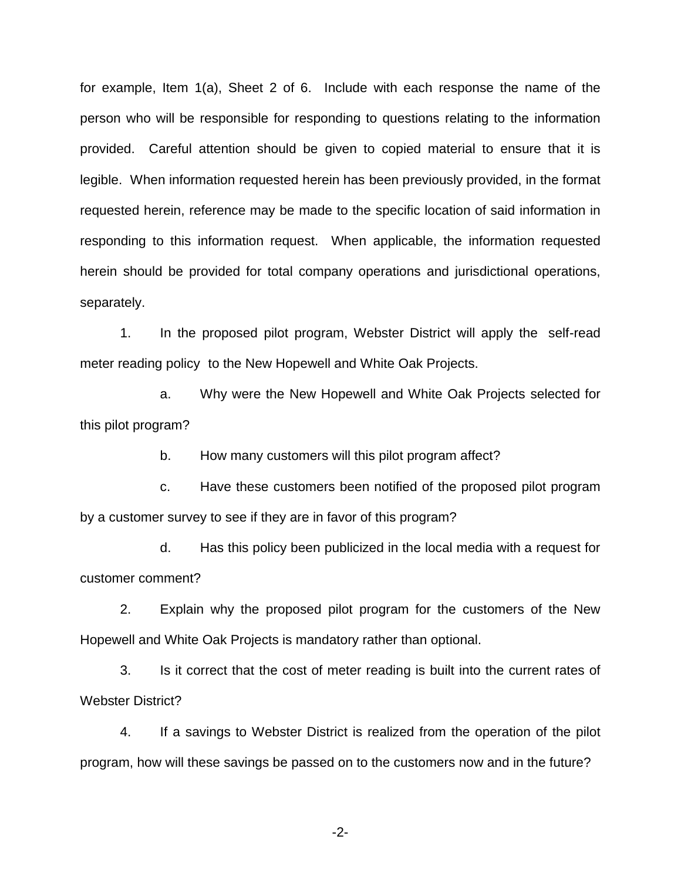for example, Item 1(a), Sheet 2 of 6. Include with each response the name of the person who will be responsible for responding to questions relating to the information provided. Careful attention should be given to copied material to ensure that it is legible. When information requested herein has been previously provided, in the format requested herein, reference may be made to the specific location of said information in responding to this information request. When applicable, the information requested herein should be provided for total company operations and jurisdictional operations, separately.

1. In the proposed pilot program, Webster District will apply the self-read meter reading policy to the New Hopewell and White Oak Projects.

a. Why were the New Hopewell and White Oak Projects selected for this pilot program?

b. How many customers will this pilot program affect?

c. Have these customers been notified of the proposed pilot program by a customer survey to see if they are in favor of this program?

d. Has this policy been publicized in the local media with a request for customer comment?

2. Explain why the proposed pilot program for the customers of the New Hopewell and White Oak Projects is mandatory rather than optional.

3. Is it correct that the cost of meter reading is built into the current rates of Webster District?

4. If a savings to Webster District is realized from the operation of the pilot program, how will these savings be passed on to the customers now and in the future?

-2-